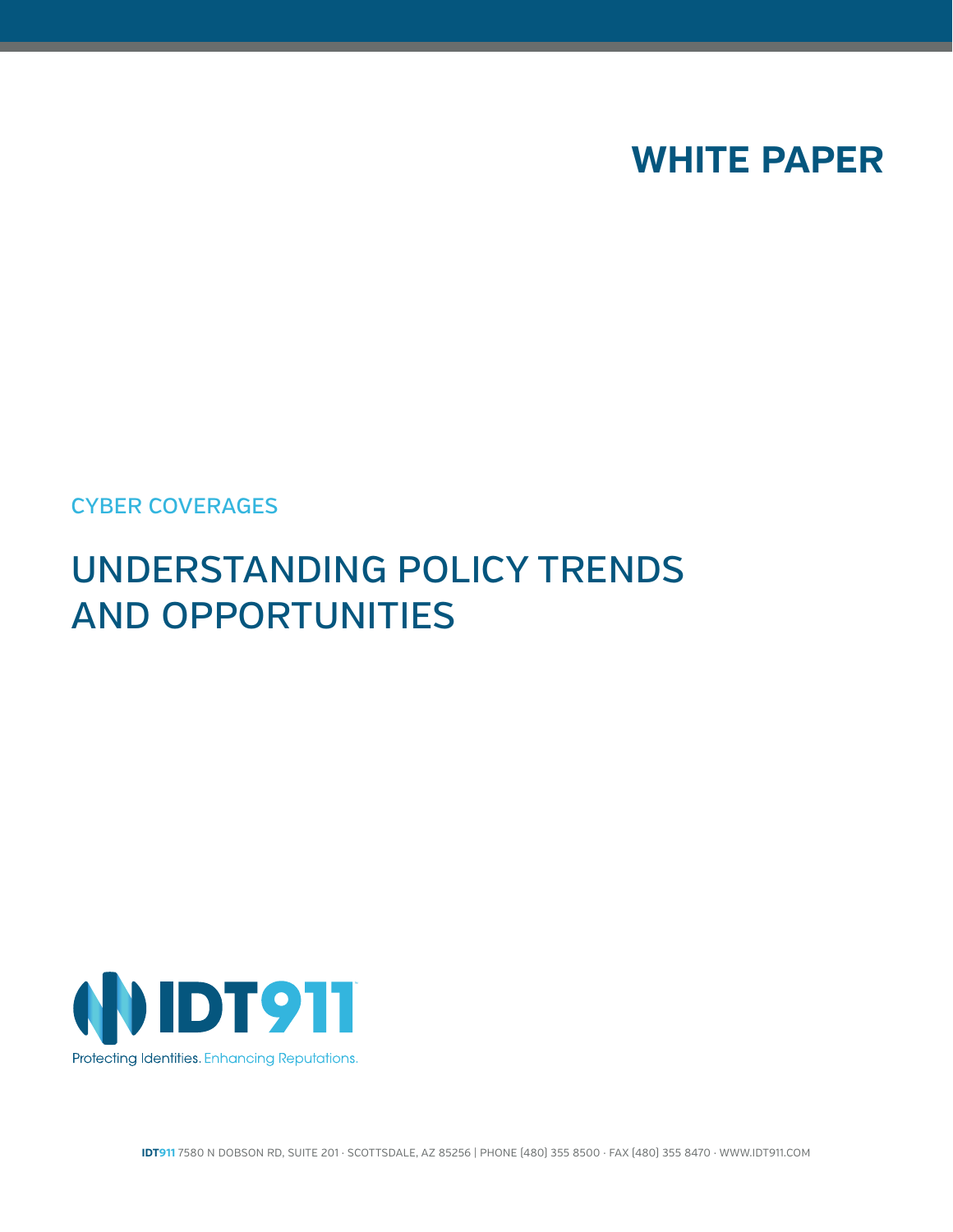

CYBER COVERAGES

# UNDERSTANDING POLICY TRENDS AND OPPORTUNITIES



**IDT911** 7580 N DOBSON RD, SUITE 201 · SCOTTSDALE, AZ 85256 | PHONE (480) 355 8500 · FAX (480) 355 8470 · WWW.IDT911.COM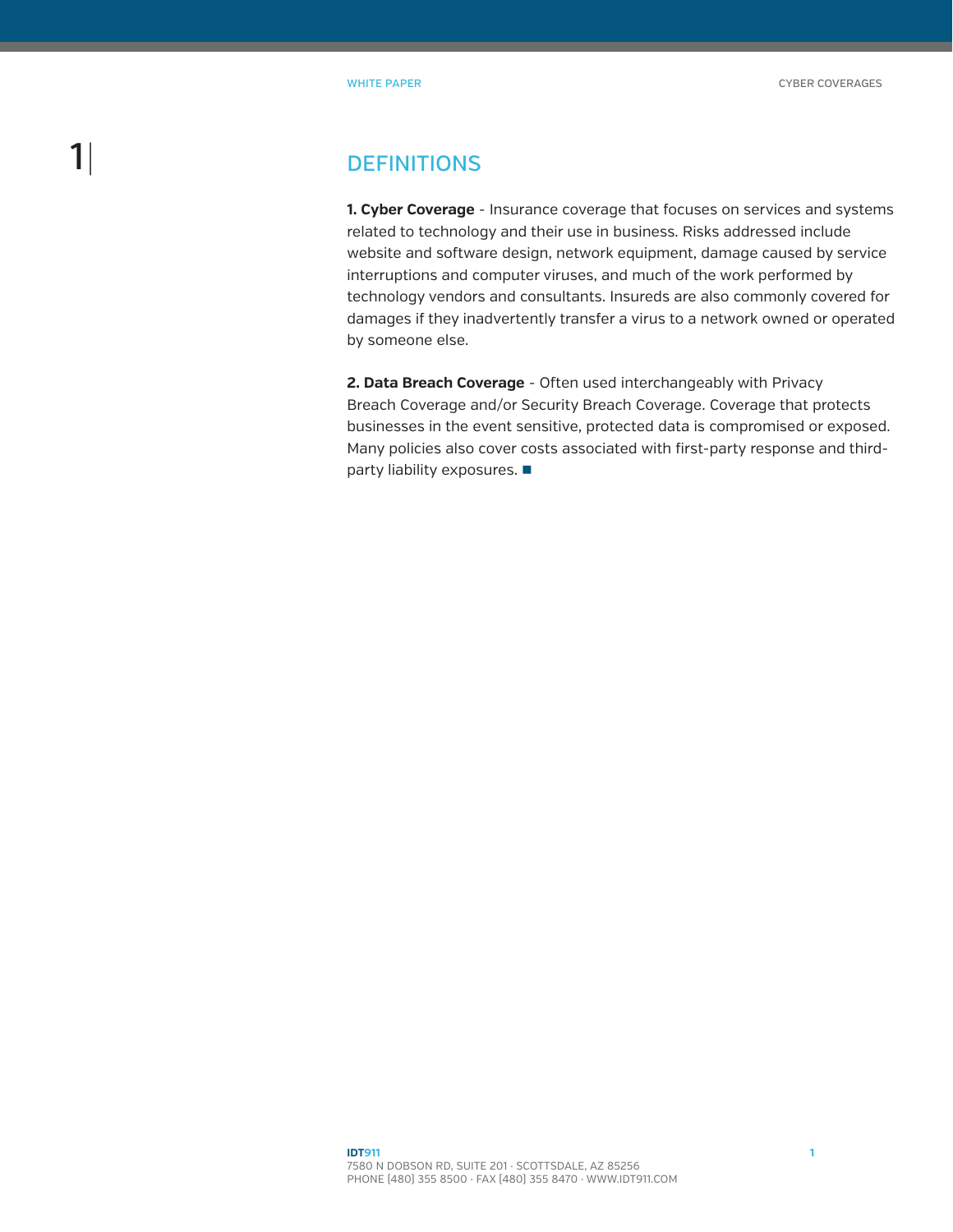### **DEFINITIONS**

**1. Cyber Coverage** - Insurance coverage that focuses on services and systems related to technology and their use in business. Risks addressed include website and software design, network equipment, damage caused by service interruptions and computer viruses, and much of the work performed by technology vendors and consultants. Insureds are also commonly covered for damages if they inadvertently transfer a virus to a network owned or operated by someone else.

**2. Data Breach Coverage** - Often used interchangeably with Privacy Breach Coverage and/or Security Breach Coverage. Coverage that protects businesses in the event sensitive, protected data is compromised or exposed. Many policies also cover costs associated with first-party response and thirdparty liability exposures.  $\blacksquare$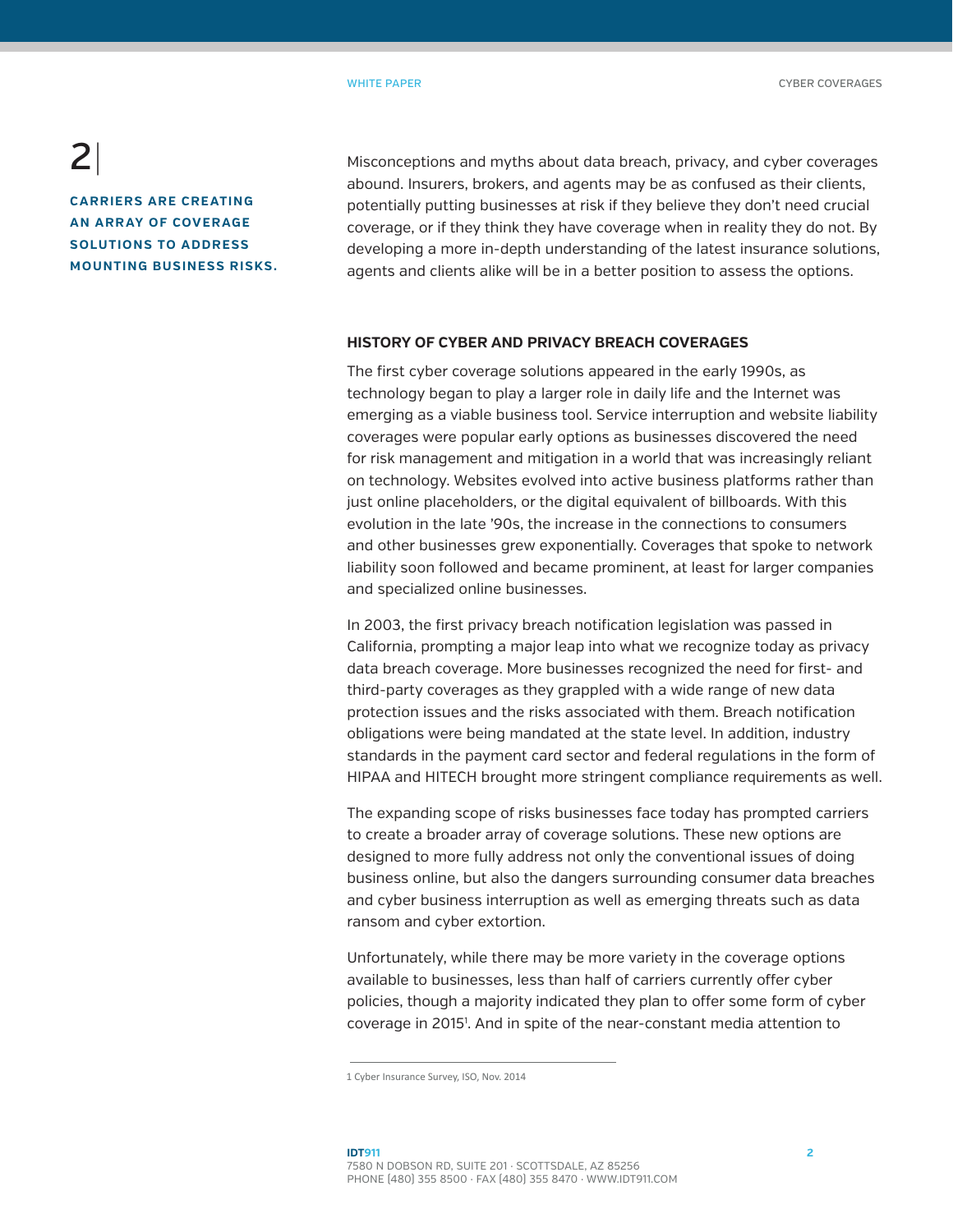WHITE PAPER COVERAGES

### 2|

**CARRIERS ARE CREATING AN ARRAY OF COVERAGE SOLUTIONS TO ADDRESS MOUNTING BUSINESS RISKS.** Misconceptions and myths about data breach, privacy, and cyber coverages abound. Insurers, brokers, and agents may be as confused as their clients, potentially putting businesses at risk if they believe they don't need crucial coverage, or if they think they have coverage when in reality they do not. By developing a more in-depth understanding of the latest insurance solutions, agents and clients alike will be in a better position to assess the options.

#### **HISTORY OF CYBER AND PRIVACY BREACH COVERAGES**

The first cyber coverage solutions appeared in the early 1990s, as technology began to play a larger role in daily life and the Internet was emerging as a viable business tool. Service interruption and website liability coverages were popular early options as businesses discovered the need for risk management and mitigation in a world that was increasingly reliant on technology. Websites evolved into active business platforms rather than just online placeholders, or the digital equivalent of billboards. With this evolution in the late '90s, the increase in the connections to consumers and other businesses grew exponentially. Coverages that spoke to network liability soon followed and became prominent, at least for larger companies and specialized online businesses.

In 2003, the first privacy breach notification legislation was passed in California, prompting a major leap into what we recognize today as privacy data breach coverage. More businesses recognized the need for first- and third-party coverages as they grappled with a wide range of new data protection issues and the risks associated with them. Breach notification obligations were being mandated at the state level. In addition, industry standards in the payment card sector and federal regulations in the form of HIPAA and HITECH brought more stringent compliance requirements as well.

The expanding scope of risks businesses face today has prompted carriers to create a broader array of coverage solutions. These new options are designed to more fully address not only the conventional issues of doing business online, but also the dangers surrounding consumer data breaches and cyber business interruption as well as emerging threats such as data ransom and cyber extortion.

Unfortunately, while there may be more variety in the coverage options available to businesses, less than half of carriers currently offer cyber policies, though a majority indicated they plan to offer some form of cyber coverage in 2015<sup>1</sup>. And in spite of the near-constant media attention to

<sup>1</sup> Cyber Insurance Survey, ISO, Nov. 2014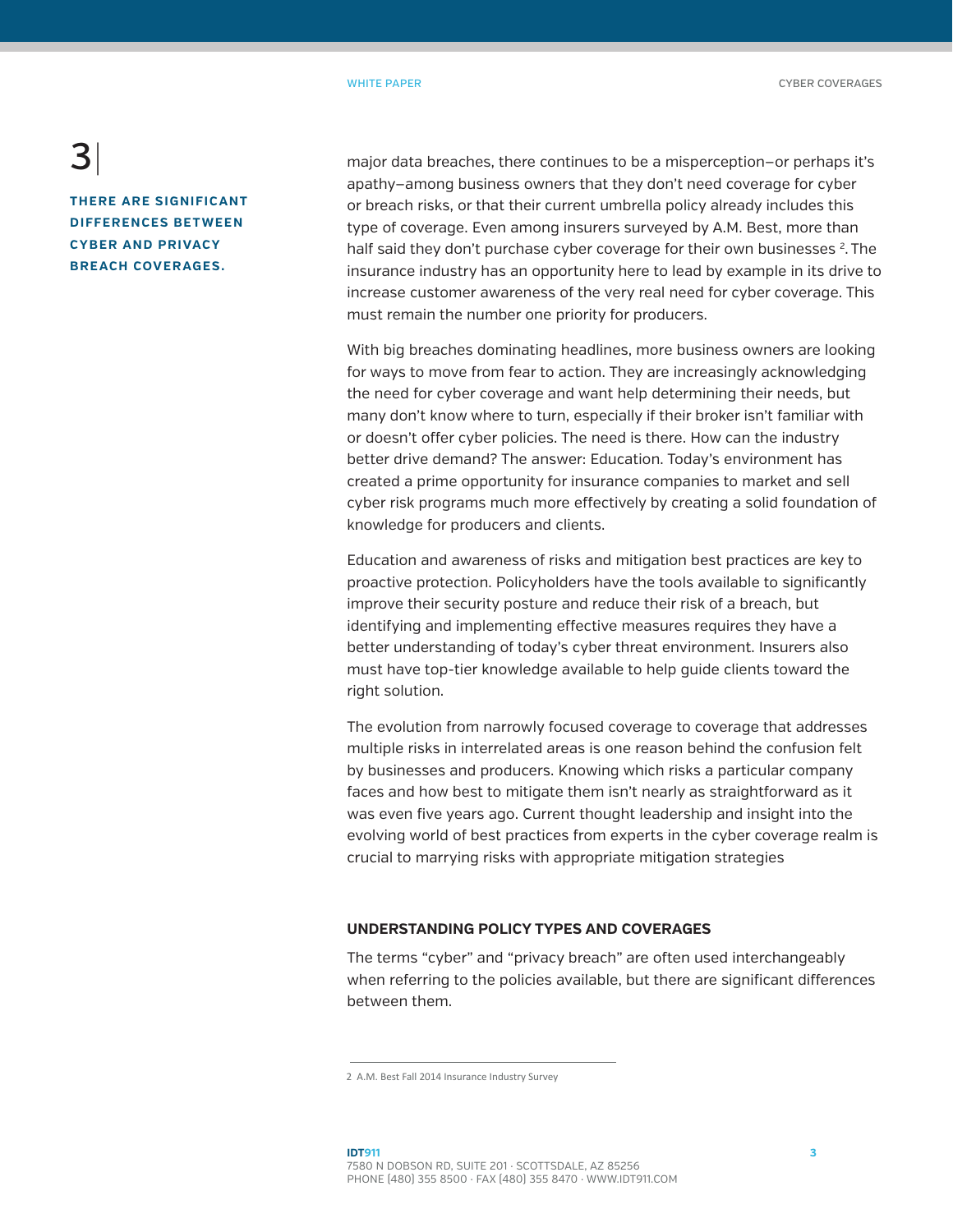### $\mathbf{B}$

**THERE ARE SIGNIFICANT DIFFERENCES BETWEEN CYBER AND PRIVACY BREACH COVERAGES.**

major data breaches, there continues to be a misperception—or perhaps it's apathy—among business owners that they don't need coverage for cyber or breach risks, or that their current umbrella policy already includes this type of coverage. Even among insurers surveyed by A.M. Best, more than half said they don't purchase cyber coverage for their own businesses <sup>2</sup>. The insurance industry has an opportunity here to lead by example in its drive to increase customer awareness of the very real need for cyber coverage. This must remain the number one priority for producers.

With big breaches dominating headlines, more business owners are looking for ways to move from fear to action. They are increasingly acknowledging the need for cyber coverage and want help determining their needs, but many don't know where to turn, especially if their broker isn't familiar with or doesn't offer cyber policies. The need is there. How can the industry better drive demand? The answer: Education. Today's environment has created a prime opportunity for insurance companies to market and sell cyber risk programs much more effectively by creating a solid foundation of knowledge for producers and clients.

Education and awareness of risks and mitigation best practices are key to proactive protection. Policyholders have the tools available to significantly improve their security posture and reduce their risk of a breach, but identifying and implementing effective measures requires they have a better understanding of today's cyber threat environment. Insurers also must have top-tier knowledge available to help guide clients toward the right solution.

The evolution from narrowly focused coverage to coverage that addresses multiple risks in interrelated areas is one reason behind the confusion felt by businesses and producers. Knowing which risks a particular company faces and how best to mitigate them isn't nearly as straightforward as it was even five years ago. Current thought leadership and insight into the evolving world of best practices from experts in the cyber coverage realm is crucial to marrying risks with appropriate mitigation strategies

#### **UNDERSTANDING POLICY TYPES AND COVERAGES**

The terms "cyber" and "privacy breach" are often used interchangeably when referring to the policies available, but there are significant differences between them.

<sup>2</sup> A.M. Best Fall 2014 Insurance Industry Survey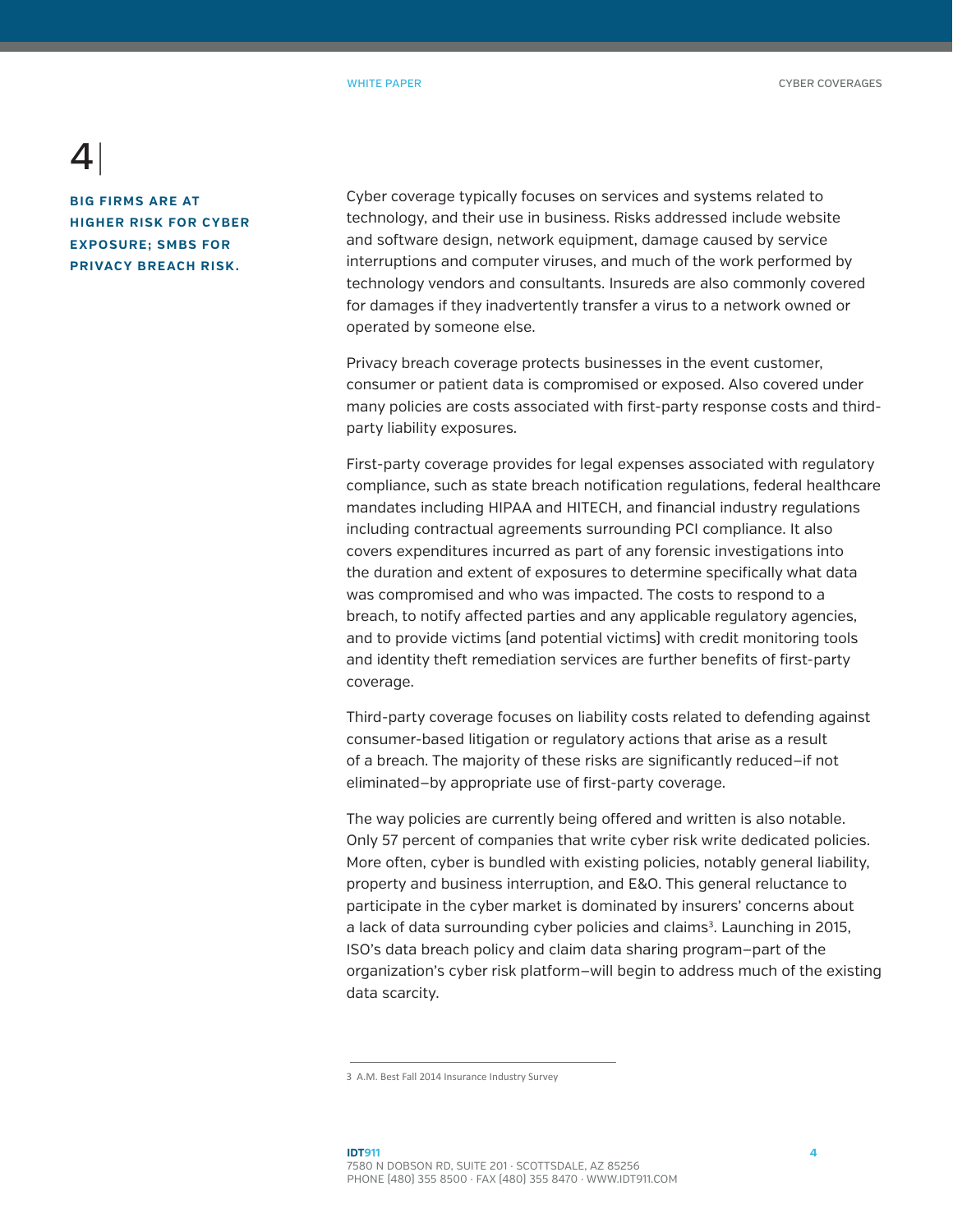### $|4|$

**BIG FIRMS ARE AT HIGHER RISK FOR CYBER EXPOSURE; SMBS FOR PRIVACY BREACH RISK.**

Cyber coverage typically focuses on services and systems related to technology, and their use in business. Risks addressed include website and software design, network equipment, damage caused by service interruptions and computer viruses, and much of the work performed by technology vendors and consultants. Insureds are also commonly covered for damages if they inadvertently transfer a virus to a network owned or operated by someone else.

Privacy breach coverage protects businesses in the event customer, consumer or patient data is compromised or exposed. Also covered under many policies are costs associated with first-party response costs and thirdparty liability exposures.

First-party coverage provides for legal expenses associated with regulatory compliance, such as state breach notification regulations, federal healthcare mandates including HIPAA and HITECH, and financial industry regulations including contractual agreements surrounding PCI compliance. It also covers expenditures incurred as part of any forensic investigations into the duration and extent of exposures to determine specifically what data was compromised and who was impacted. The costs to respond to a breach, to notify affected parties and any applicable regulatory agencies, and to provide victims (and potential victims) with credit monitoring tools and identity theft remediation services are further benefits of first-party coverage.

Third-party coverage focuses on liability costs related to defending against consumer-based litigation or regulatory actions that arise as a result of a breach. The majority of these risks are significantly reduced—if not eliminated—by appropriate use of first-party coverage.

The way policies are currently being offered and written is also notable. Only 57 percent of companies that write cyber risk write dedicated policies. More often, cyber is bundled with existing policies, notably general liability, property and business interruption, and E&O. This general reluctance to participate in the cyber market is dominated by insurers' concerns about a lack of data surrounding cyber policies and claims<sup>3</sup>. Launching in 2015, ISO's data breach policy and claim data sharing program—part of the organization's cyber risk platform—will begin to address much of the existing data scarcity.

<sup>3</sup> A.M. Best Fall 2014 Insurance Industry Survey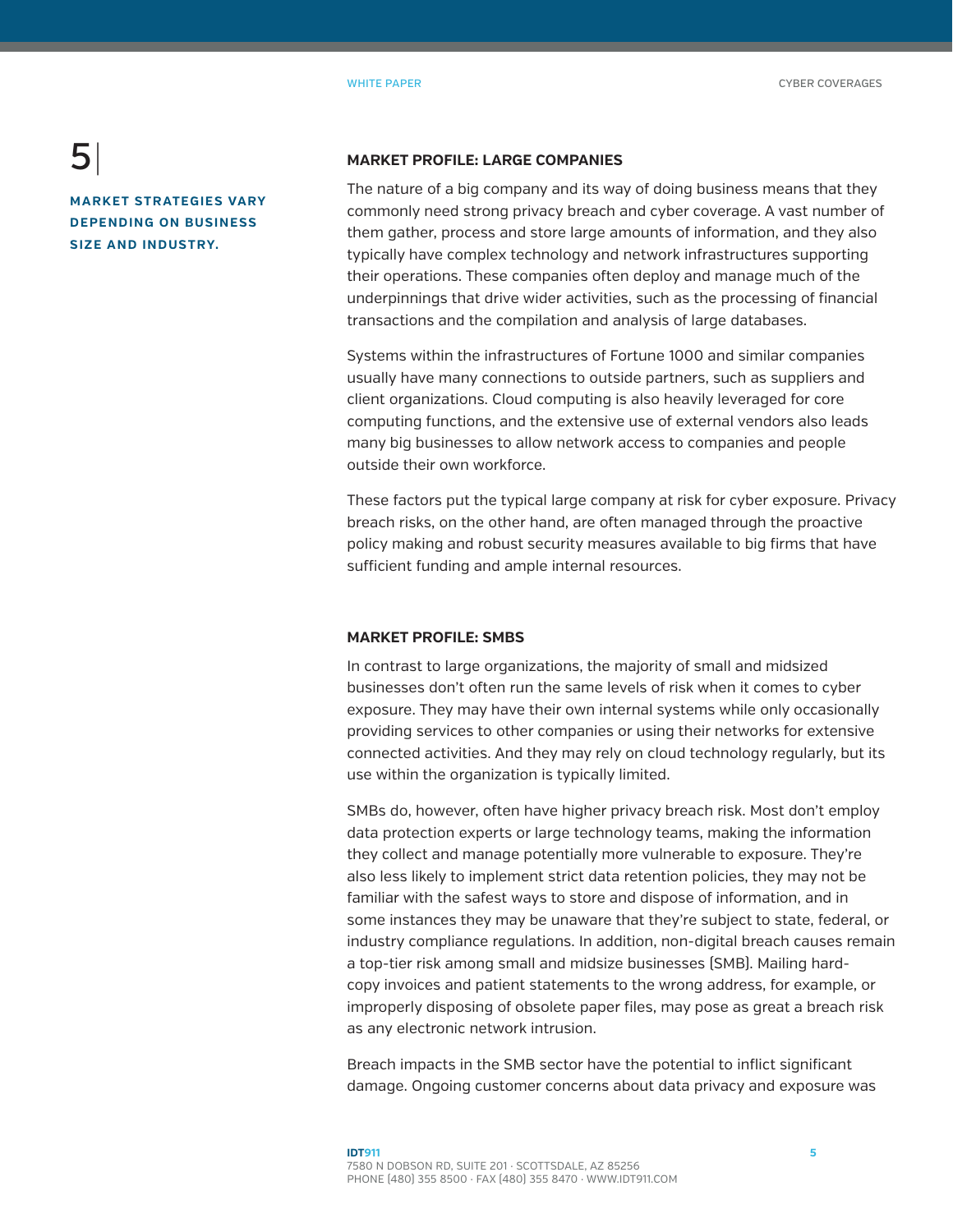**MARKET STRATEGIES VARY DEPENDING ON BUSINESS SIZE AND INDUSTRY.**

#### **MARKET PROFILE: LARGE COMPANIES**

The nature of a big company and its way of doing business means that they commonly need strong privacy breach and cyber coverage. A vast number of them gather, process and store large amounts of information, and they also typically have complex technology and network infrastructures supporting their operations. These companies often deploy and manage much of the underpinnings that drive wider activities, such as the processing of financial transactions and the compilation and analysis of large databases.

Systems within the infrastructures of Fortune 1000 and similar companies usually have many connections to outside partners, such as suppliers and client organizations. Cloud computing is also heavily leveraged for core computing functions, and the extensive use of external vendors also leads many big businesses to allow network access to companies and people outside their own workforce.

These factors put the typical large company at risk for cyber exposure. Privacy breach risks, on the other hand, are often managed through the proactive policy making and robust security measures available to big firms that have sufficient funding and ample internal resources.

#### **MARKET PROFILE: SMBS**

In contrast to large organizations, the majority of small and midsized businesses don't often run the same levels of risk when it comes to cyber exposure. They may have their own internal systems while only occasionally providing services to other companies or using their networks for extensive connected activities. And they may rely on cloud technology regularly, but its use within the organization is typically limited.

SMBs do, however, often have higher privacy breach risk. Most don't employ data protection experts or large technology teams, making the information they collect and manage potentially more vulnerable to exposure. They're also less likely to implement strict data retention policies, they may not be familiar with the safest ways to store and dispose of information, and in some instances they may be unaware that they're subject to state, federal, or industry compliance regulations. In addition, non-digital breach causes remain a top-tier risk among small and midsize businesses (SMB). Mailing hardcopy invoices and patient statements to the wrong address, for example, or improperly disposing of obsolete paper files, may pose as great a breach risk as any electronic network intrusion.

Breach impacts in the SMB sector have the potential to inflict significant damage. Ongoing customer concerns about data privacy and exposure was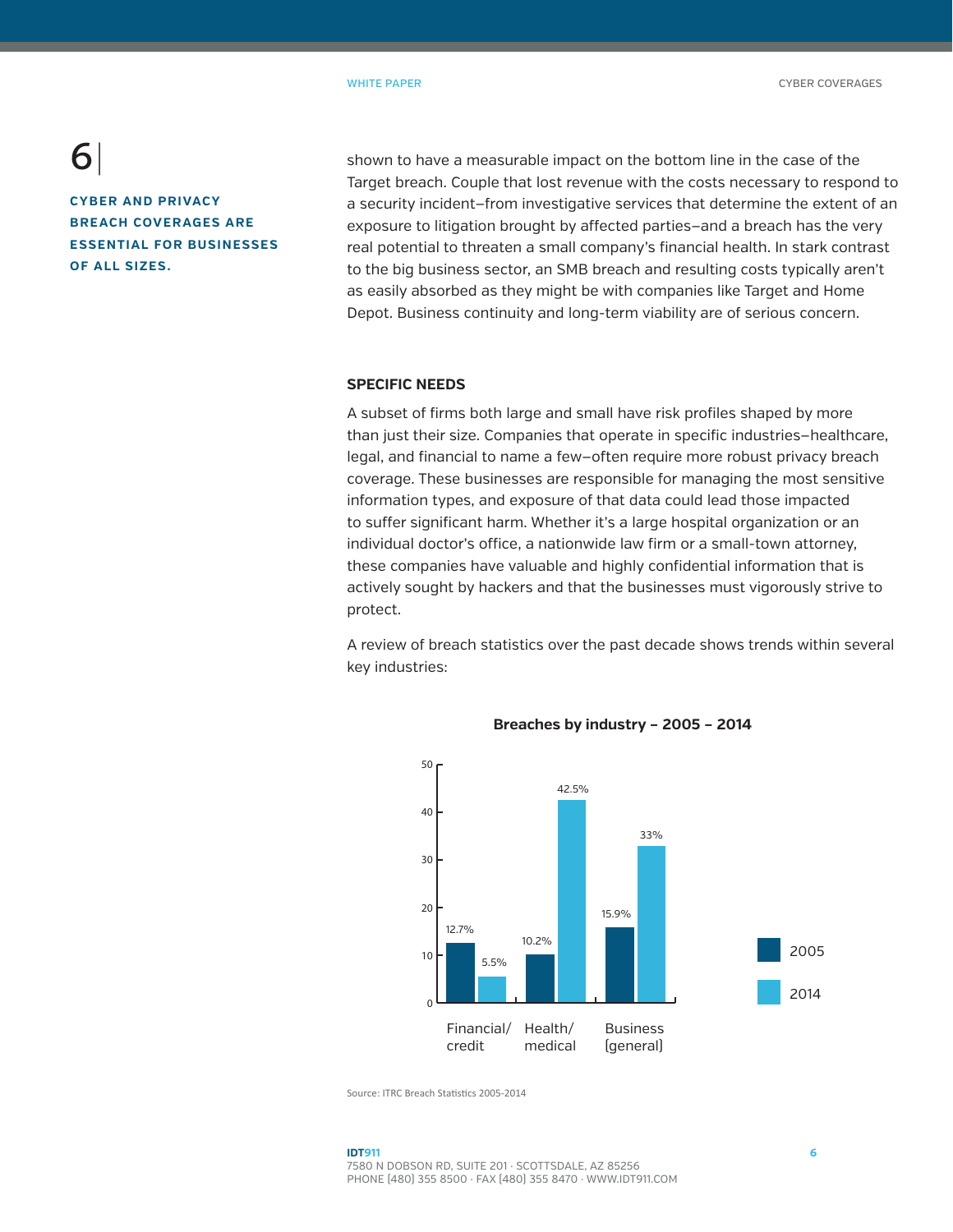WHITE PAPER CYBER COVERAGES

## 6|

**CYBER AND PRIVACY BREACH COVERAGES ARE ESSENTIAL FOR BUSINESSES OF ALL SIZES.**

shown to have a measurable impact on the bottom line in the case of the Target breach. Couple that lost revenue with the costs necessary to respond to a security incident—from investigative services that determine the extent of an exposure to litigation brought by affected parties—and a breach has the very real potential to threaten a small company's financial health. In stark contrast to the big business sector, an SMB breach and resulting costs typically aren't as easily absorbed as they might be with companies like Target and Home Depot. Business continuity and long-term viability are of serious concern.

#### **SPECIFIC NEEDS**

A subset of firms both large and small have risk profiles shaped by more than just their size. Companies that operate in specific industries—healthcare, legal, and financial to name a few—often require more robust privacy breach coverage. These businesses are responsible for managing the most sensitive information types, and exposure of that data could lead those impacted to suffer significant harm. Whether it's a large hospital organization or an individual doctor's office, a nationwide law firm or a small-town attorney, these companies have valuable and highly confidential information that is actively sought by hackers and that the businesses must vigorously strive to protect.

A review of breach statistics over the past decade shows trends within several key industries:



**Breaches by industry – 2005 – 2014** 

Source: ITRC Breach Statistics 2005-2014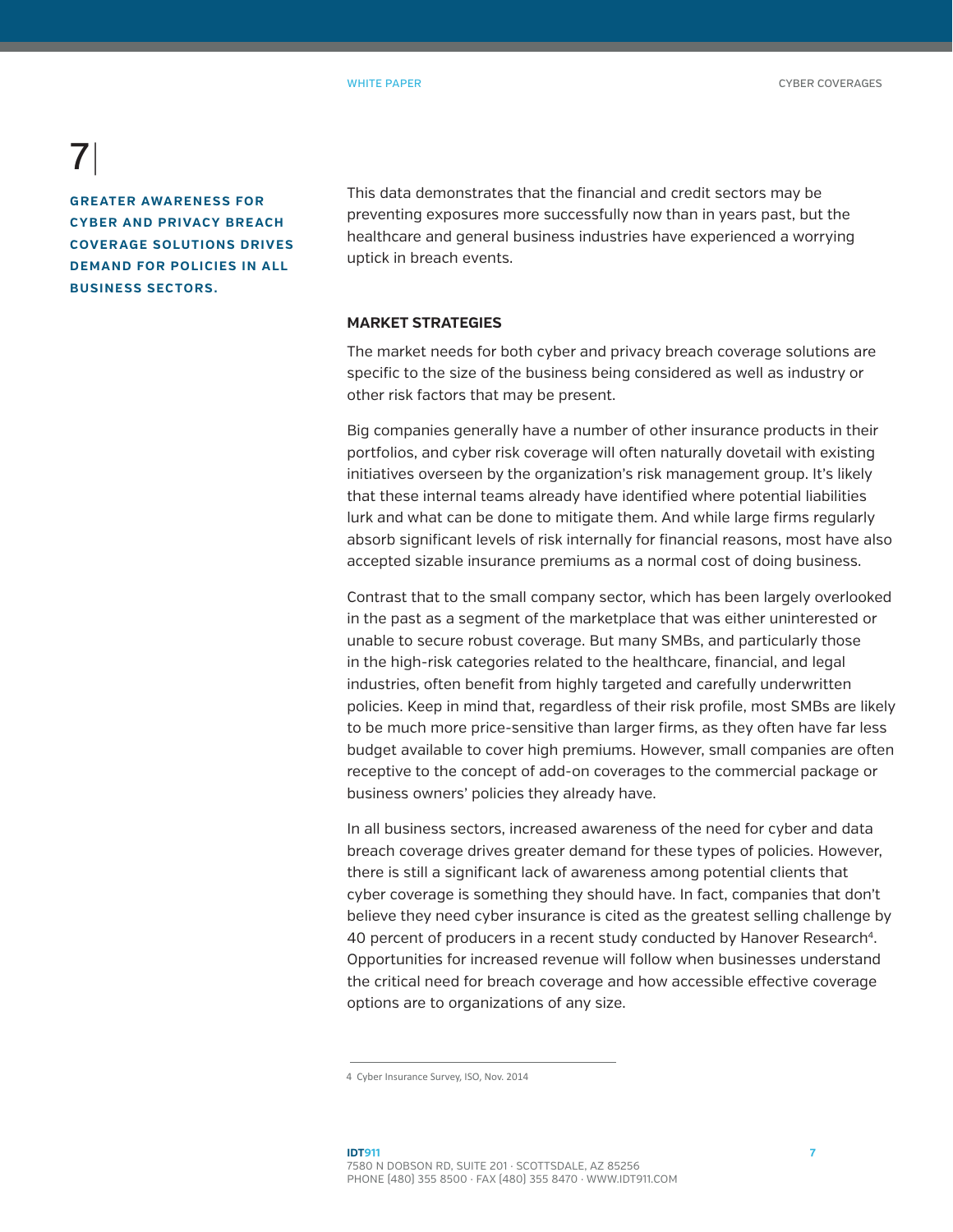**GREATER AWARENESS FOR CYBER AND PRIVACY BREACH COVERAGE SOLUTIONS DRIVES DEMAND FOR POLICIES IN ALL BUSINESS SECTORS.**

This data demonstrates that the financial and credit sectors may be preventing exposures more successfully now than in years past, but the healthcare and general business industries have experienced a worrying uptick in breach events.

#### **MARKET STRATEGIES**

The market needs for both cyber and privacy breach coverage solutions are specific to the size of the business being considered as well as industry or other risk factors that may be present.

Big companies generally have a number of other insurance products in their portfolios, and cyber risk coverage will often naturally dovetail with existing initiatives overseen by the organization's risk management group. It's likely that these internal teams already have identified where potential liabilities lurk and what can be done to mitigate them. And while large firms regularly absorb significant levels of risk internally for financial reasons, most have also accepted sizable insurance premiums as a normal cost of doing business.

Contrast that to the small company sector, which has been largely overlooked in the past as a segment of the marketplace that was either uninterested or unable to secure robust coverage. But many SMBs, and particularly those in the high-risk categories related to the healthcare, financial, and legal industries, often benefit from highly targeted and carefully underwritten policies. Keep in mind that, regardless of their risk profile, most SMBs are likely to be much more price-sensitive than larger firms, as they often have far less budget available to cover high premiums. However, small companies are often receptive to the concept of add-on coverages to the commercial package or business owners' policies they already have.

In all business sectors, increased awareness of the need for cyber and data breach coverage drives greater demand for these types of policies. However, there is still a significant lack of awareness among potential clients that cyber coverage is something they should have. In fact, companies that don't believe they need cyber insurance is cited as the greatest selling challenge by 40 percent of producers in a recent study conducted by Hanover Research4. Opportunities for increased revenue will follow when businesses understand the critical need for breach coverage and how accessible effective coverage options are to organizations of any size.

<sup>4</sup> Cyber Insurance Survey, ISO, Nov. 2014